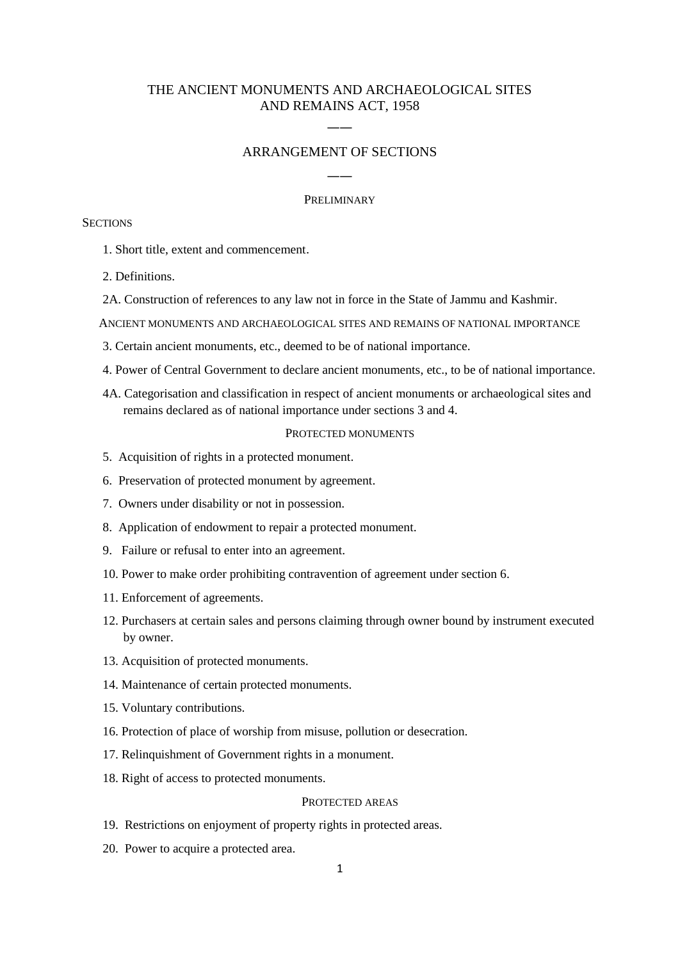# THE ANCIENT MONUMENTS AND ARCHAEOLOGICAL SITES AND REMAINS ACT, 1958

# ARRANGEMENT OF SECTIONS

――

――

### PRELIMINARY

# **SECTIONS**

- 1. Short title, extent and commencement.
- 2. Definitions.
- 2A. Construction of references to any law not in force in the State of Jammu and Kashmir.
- ANCIENT MONUMENTS AND ARCHAEOLOGICAL SITES AND REMAINS OF NATIONAL IMPORTANCE
- 3. Certain ancient monuments, etc., deemed to be of national importance.
- 4. Power of Central Government to declare ancient monuments, etc., to be of national importance.
- 4A. Categorisation and classification in respect of ancient monuments or archaeological sites and remains declared as of national importance under sections 3 and 4.

# PROTECTED MONUMENTS

- 5. Acquisition of rights in a protected monument.
- 6. Preservation of protected monument by agreement.
- 7. Owners under disability or not in possession.
- 8. Application of endowment to repair a protected monument.
- 9. Failure or refusal to enter into an agreement.
- 10. Power to make order prohibiting contravention of agreement under section 6.
- 11. Enforcement of agreements.
- 12. Purchasers at certain sales and persons claiming through owner bound by instrument executed by owner.
- 13. Acquisition of protected monuments.
- 14. Maintenance of certain protected monuments.
- 15. Voluntary contributions.
- 16. Protection of place of worship from misuse, pollution or desecration.
- 17. Relinquishment of Government rights in a monument.
- 18. Right of access to protected monuments.

## PROTECTED AREAS

- 19. Restrictions on enjoyment of property rights in protected areas.
- 20. Power to acquire a protected area.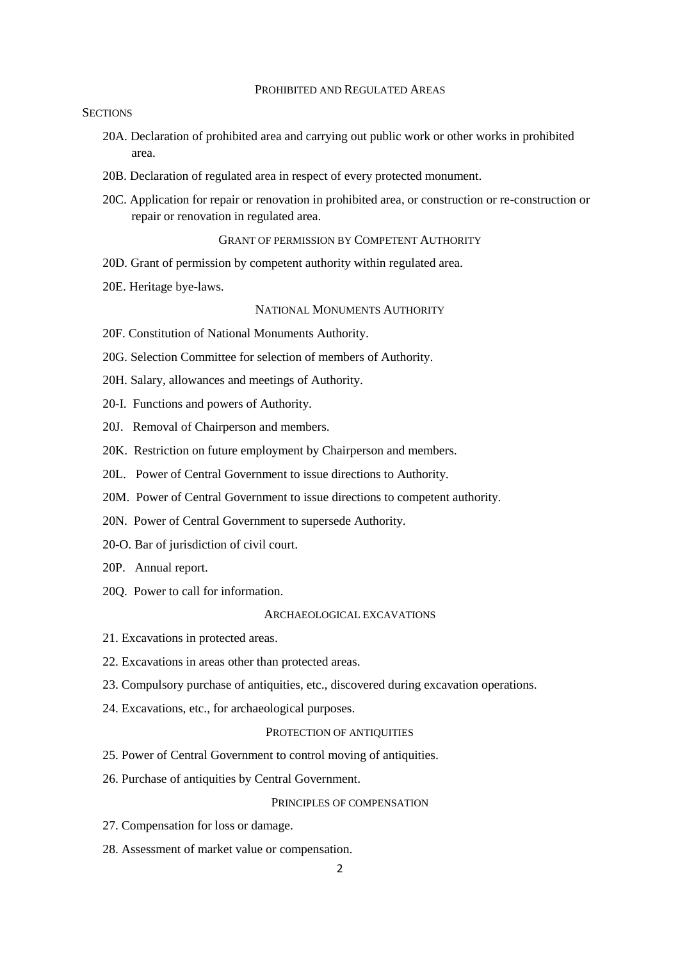### PROHIBITED AND REGULATED AREAS

# **SECTIONS**

- 20A. Declaration of prohibited area and carrying out public work or other works in prohibited area.
- 20B. Declaration of regulated area in respect of every protected monument.
- 20C. Application for repair or renovation in prohibited area, or construction or re-construction or repair or renovation in regulated area.

### GRANT OF PERMISSION BY COMPETENT AUTHORITY

- 20D. Grant of permission by competent authority within regulated area.
- 20E. Heritage bye-laws.

### NATIONAL MONUMENTS AUTHORITY

- 20F. Constitution of National Monuments Authority.
- 20G. Selection Committee for selection of members of Authority.
- 20H. Salary, allowances and meetings of Authority.
- 20-I. Functions and powers of Authority.
- 20J. Removal of Chairperson and members.
- 20K. Restriction on future employment by Chairperson and members.
- 20L. Power of Central Government to issue directions to Authority.
- 20M. Power of Central Government to issue directions to competent authority.
- 20N. Power of Central Government to supersede Authority.
- 20-O. Bar of jurisdiction of civil court.
- 20P. Annual report.
- 20Q. Power to call for information.

#### ARCHAEOLOGICAL EXCAVATIONS

- 21. Excavations in protected areas.
- 22. Excavations in areas other than protected areas.
- 23. Compulsory purchase of antiquities, etc., discovered during excavation operations.
- 24. Excavations, etc., for archaeological purposes.

#### PROTECTION OF ANTIQUITIES

- 25. Power of Central Government to control moving of antiquities.
- 26. Purchase of antiquities by Central Government.

### PRINCIPLES OF COMPENSATION

- 27. Compensation for loss or damage.
- 28. Assessment of market value or compensation.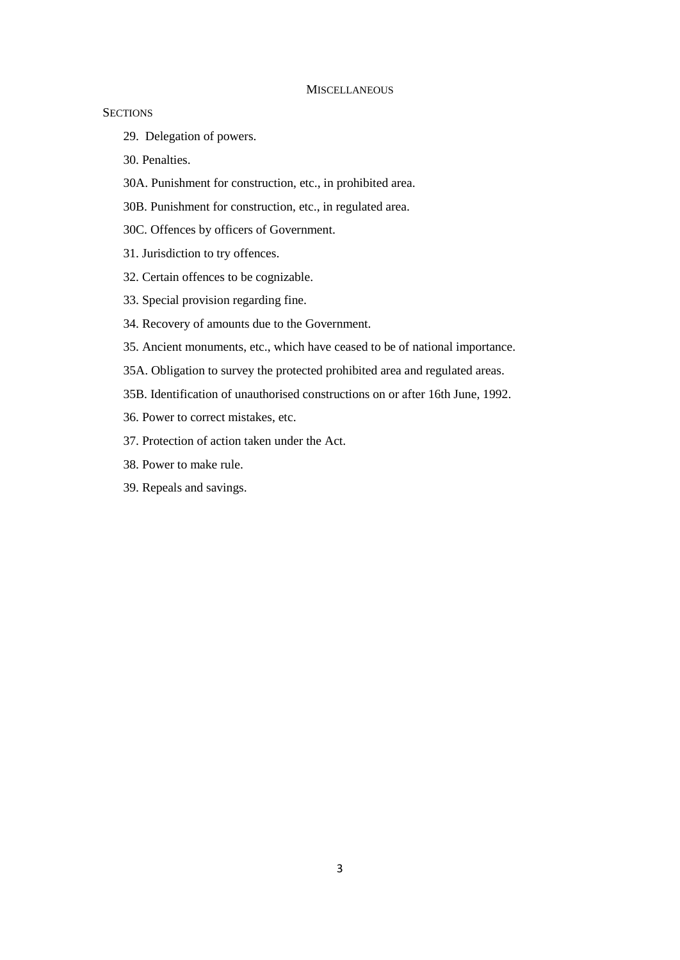#### **MISCELLANEOUS**

# **SECTIONS**

29. Delegation of powers.

30. Penalties.

- 30A. Punishment for construction, etc., in prohibited area.
- 30B. Punishment for construction, etc., in regulated area.
- 30C. Offences by officers of Government.
- 31. Jurisdiction to try offences.
- 32. Certain offences to be cognizable.
- 33. Special provision regarding fine.
- 34. Recovery of amounts due to the Government.
- 35. Ancient monuments, etc., which have ceased to be of national importance.
- 35A. Obligation to survey the protected prohibited area and regulated areas.
- 35B. Identification of unauthorised constructions on or after 16th June, 1992.
- 36. Power to correct mistakes, etc.
- 37. Protection of action taken under the Act.
- 38. Power to make rule.
- 39. Repeals and savings.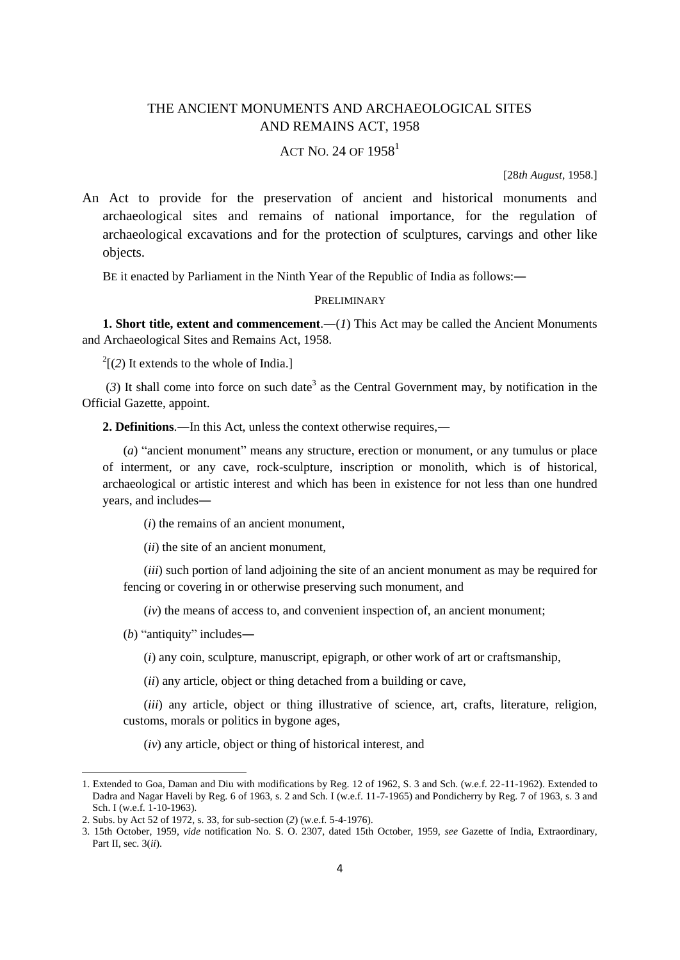# THE ANCIENT MONUMENTS AND ARCHAEOLOGICAL SITES AND REMAINS ACT, 1958

# ACT NO. 24 OF  $1958^1$

[28*th August*, 1958.]

An Act to provide for the preservation of ancient and historical monuments and archaeological sites and remains of national importance, for the regulation of archaeological excavations and for the protection of sculptures, carvings and other like objects.

BE it enacted by Parliament in the Ninth Year of the Republic of India as follows:―

### PRELIMINARY

**1. Short title, extent and commencement.**—(*I*) This Act may be called the Ancient Monuments and Archaeological Sites and Remains Act, 1958.

 $2$ [(2) It extends to the whole of India.]

 $(3)$  It shall come into force on such date<sup>3</sup> as the Central Government may, by notification in the Official Gazette, appoint.

**2. Definitions**.―In this Act, unless the context otherwise requires,―

(*a*) "ancient monument" means any structure, erection or monument, or any tumulus or place of interment, or any cave, rock-sculpture, inscription or monolith, which is of historical, archaeological or artistic interest and which has been in existence for not less than one hundred years, and includes―

(*i*) the remains of an ancient monument,

(*ii*) the site of an ancient monument,

(*iii*) such portion of land adjoining the site of an ancient monument as may be required for fencing or covering in or otherwise preserving such monument, and

(*iv*) the means of access to, and convenient inspection of, an ancient monument;

(*b*) "antiquity" includes―

**.** 

(*i*) any coin, sculpture, manuscript, epigraph, or other work of art or craftsmanship,

(*ii*) any article, object or thing detached from a building or cave,

(*iii*) any article, object or thing illustrative of science, art, crafts, literature, religion, customs, morals or politics in bygone ages,

(*iv*) any article, object or thing of historical interest, and

<sup>1.</sup> Extended to Goa, Daman and Diu with modifications by Reg. 12 of 1962, S. 3 and Sch. (w.e.f. 22-11-1962). Extended to Dadra and Nagar Haveli by Reg. 6 of 1963, s. 2 and Sch. I (w.e.f. 11-7-1965) and Pondicherry by Reg. 7 of 1963, s. 3 and Sch. I (w.e.f. 1-10-1963).

<sup>2.</sup> Subs. by Act 52 of 1972, s. 33, for sub-section (*2*) (w.e.f. 5-4-1976).

<sup>3. 15</sup>th October, 1959, *vide* notification No. S. O. 2307, dated 15th October, 1959, *see* Gazette of India, Extraordinary, Part II, sec. 3(*ii*).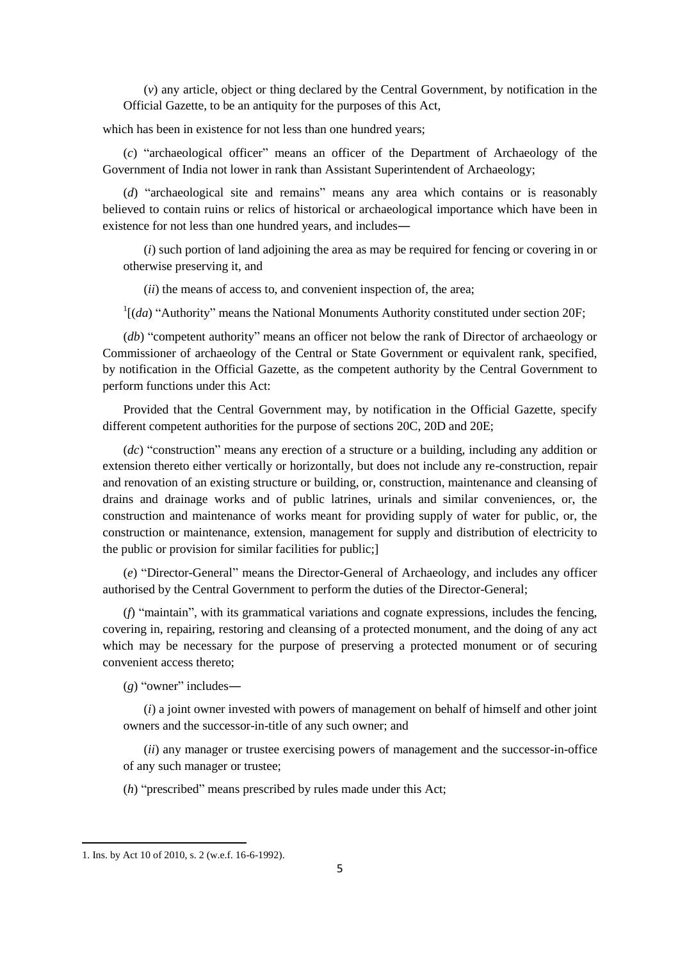(*v*) any article, object or thing declared by the Central Government, by notification in the Official Gazette, to be an antiquity for the purposes of this Act,

which has been in existence for not less than one hundred years;

(*c*) "archaeological officer" means an officer of the Department of Archaeology of the Government of India not lower in rank than Assistant Superintendent of Archaeology;

(*d*) "archaeological site and remains" means any area which contains or is reasonably believed to contain ruins or relics of historical or archaeological importance which have been in existence for not less than one hundred years, and includes―

(*i*) such portion of land adjoining the area as may be required for fencing or covering in or otherwise preserving it, and

(*ii*) the means of access to, and convenient inspection of, the area;

 $1[(da)$  "Authority" means the National Monuments Authority constituted under section 20F;

(*db*) "competent authority" means an officer not below the rank of Director of archaeology or Commissioner of archaeology of the Central or State Government or equivalent rank, specified, by notification in the Official Gazette, as the competent authority by the Central Government to perform functions under this Act:

Provided that the Central Government may, by notification in the Official Gazette, specify different competent authorities for the purpose of sections 20C, 20D and 20E;

(*dc*) "construction" means any erection of a structure or a building, including any addition or extension thereto either vertically or horizontally, but does not include any re-construction, repair and renovation of an existing structure or building, or, construction, maintenance and cleansing of drains and drainage works and of public latrines, urinals and similar conveniences, or, the construction and maintenance of works meant for providing supply of water for public, or, the construction or maintenance, extension, management for supply and distribution of electricity to the public or provision for similar facilities for public;]

(*e*) "Director-General" means the Director-General of Archaeology, and includes any officer authorised by the Central Government to perform the duties of the Director-General;

(*f*) "maintain", with its grammatical variations and cognate expressions, includes the fencing, covering in, repairing, restoring and cleansing of a protected monument, and the doing of any act which may be necessary for the purpose of preserving a protected monument or of securing convenient access thereto;

(*g*) "owner" includes―

(*i*) a joint owner invested with powers of management on behalf of himself and other joint owners and the successor-in-title of any such owner; and

(*ii*) any manager or trustee exercising powers of management and the successor-in-office of any such manager or trustee;

(*h*) "prescribed" means prescribed by rules made under this Act;

1

<sup>1.</sup> Ins. by Act 10 of 2010, s. 2 (w.e.f. 16-6-1992).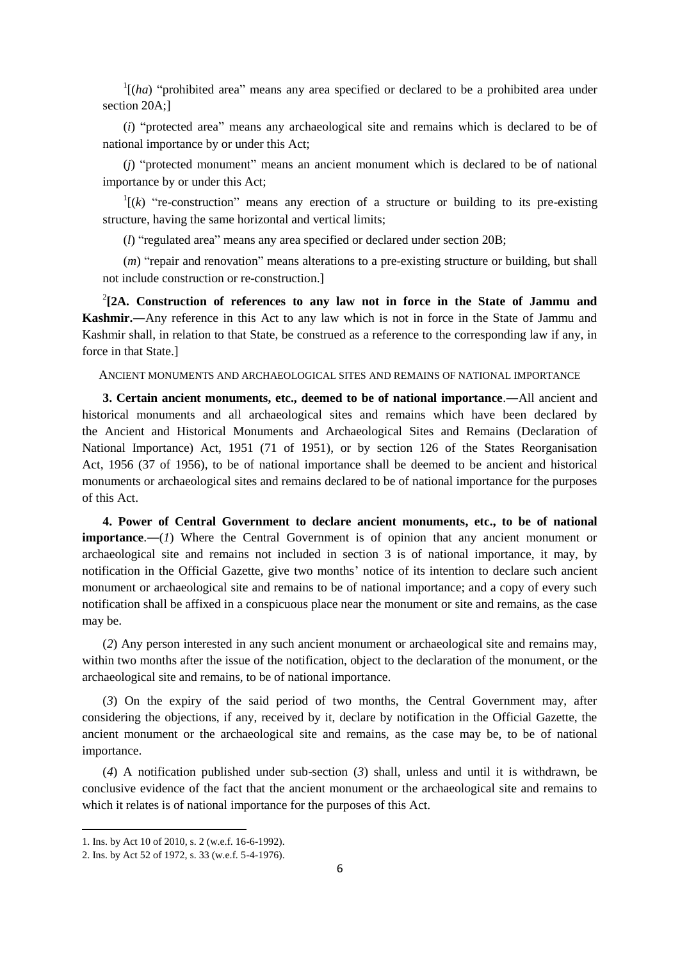$\int$ <sup>1</sup>[(*ha*) "prohibited area" means any area specified or declared to be a prohibited area under section 20A;]

(*i*) "protected area" means any archaeological site and remains which is declared to be of national importance by or under this Act;

(*j*) "protected monument" means an ancient monument which is declared to be of national importance by or under this Act;

 $I[(k)$  "re-construction" means any erection of a structure or building to its pre-existing structure, having the same horizontal and vertical limits;

(*l*) "regulated area" means any area specified or declared under section 20B;

(*m*) "repair and renovation" means alterations to a pre-existing structure or building, but shall not include construction or re-construction.]

2 **[2A. Construction of references to any law not in force in the State of Jammu and Kashmir.―**Any reference in this Act to any law which is not in force in the State of Jammu and Kashmir shall, in relation to that State, be construed as a reference to the corresponding law if any, in force in that State.]

## ANCIENT MONUMENTS AND ARCHAEOLOGICAL SITES AND REMAINS OF NATIONAL IMPORTANCE

**3. Certain ancient monuments, etc., deemed to be of national importance**.―All ancient and historical monuments and all archaeological sites and remains which have been declared by the Ancient and Historical Monuments and Archaeological Sites and Remains (Declaration of National Importance) Act, 1951 (71 of 1951), or by section 126 of the States Reorganisation Act, 1956 (37 of 1956), to be of national importance shall be deemed to be ancient and historical monuments or archaeological sites and remains declared to be of national importance for the purposes of this Act.

**4. Power of Central Government to declare ancient monuments, etc., to be of national importance.**—(*1*) Where the Central Government is of opinion that any ancient monument or archaeological site and remains not included in section 3 is of national importance, it may, by notification in the Official Gazette, give two months' notice of its intention to declare such ancient monument or archaeological site and remains to be of national importance; and a copy of every such notification shall be affixed in a conspicuous place near the monument or site and remains, as the case may be.

(*2*) Any person interested in any such ancient monument or archaeological site and remains may, within two months after the issue of the notification, object to the declaration of the monument, or the archaeological site and remains, to be of national importance.

(*3*) On the expiry of the said period of two months, the Central Government may, after considering the objections, if any, received by it, declare by notification in the Official Gazette, the ancient monument or the archaeological site and remains, as the case may be, to be of national importance.

(*4*) A notification published under sub-section (*3*) shall, unless and until it is withdrawn, be conclusive evidence of the fact that the ancient monument or the archaeological site and remains to which it relates is of national importance for the purposes of this Act.

**.** 

<sup>1.</sup> Ins. by Act 10 of 2010, s. 2 (w.e.f. 16-6-1992).

<sup>2.</sup> Ins. by Act 52 of 1972, s. 33 (w.e.f. 5-4-1976).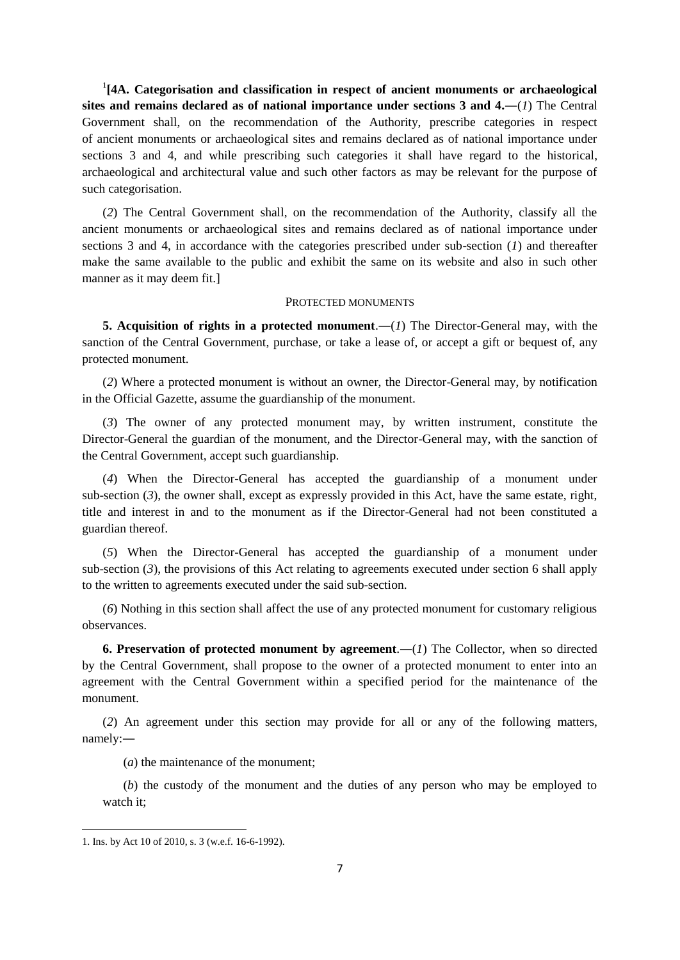<sup>1</sup>[4A. Categorisation and classification in respect of ancient monuments or archaeological **sites and remains declared as of national importance under sections 3 and 4.―**(*1*) The Central Government shall, on the recommendation of the Authority, prescribe categories in respect of ancient monuments or archaeological sites and remains declared as of national importance under sections 3 and 4, and while prescribing such categories it shall have regard to the historical, archaeological and architectural value and such other factors as may be relevant for the purpose of such categorisation.

(*2*) The Central Government shall, on the recommendation of the Authority, classify all the ancient monuments or archaeological sites and remains declared as of national importance under sections 3 and 4, in accordance with the categories prescribed under sub-section (*1*) and thereafter make the same available to the public and exhibit the same on its website and also in such other manner as it may deem fit.]

### PROTECTED MONUMENTS

**5. Acquisition of rights in a protected monument**.―(*1*) The Director-General may, with the sanction of the Central Government, purchase, or take a lease of, or accept a gift or bequest of, any protected monument.

(*2*) Where a protected monument is without an owner, the Director-General may, by notification in the Official Gazette, assume the guardianship of the monument.

(*3*) The owner of any protected monument may, by written instrument, constitute the Director-General the guardian of the monument, and the Director-General may, with the sanction of the Central Government, accept such guardianship.

(*4*) When the Director-General has accepted the guardianship of a monument under sub-section (*3*), the owner shall, except as expressly provided in this Act, have the same estate, right, title and interest in and to the monument as if the Director-General had not been constituted a guardian thereof.

(*5*) When the Director-General has accepted the guardianship of a monument under sub-section (*3*), the provisions of this Act relating to agreements executed under section 6 shall apply to the written to agreements executed under the said sub-section.

(*6*) Nothing in this section shall affect the use of any protected monument for customary religious observances.

**6. Preservation of protected monument by agreement.—** $(I)$  **The Collector, when so directed** by the Central Government, shall propose to the owner of a protected monument to enter into an agreement with the Central Government within a specified period for the maintenance of the monument.

(*2*) An agreement under this section may provide for all or any of the following matters, namely:―

(*a*) the maintenance of the monument;

(*b*) the custody of the monument and the duties of any person who may be employed to watch it;

<sup>1.</sup> Ins. by Act 10 of 2010, s. 3 (w.e.f. 16-6-1992).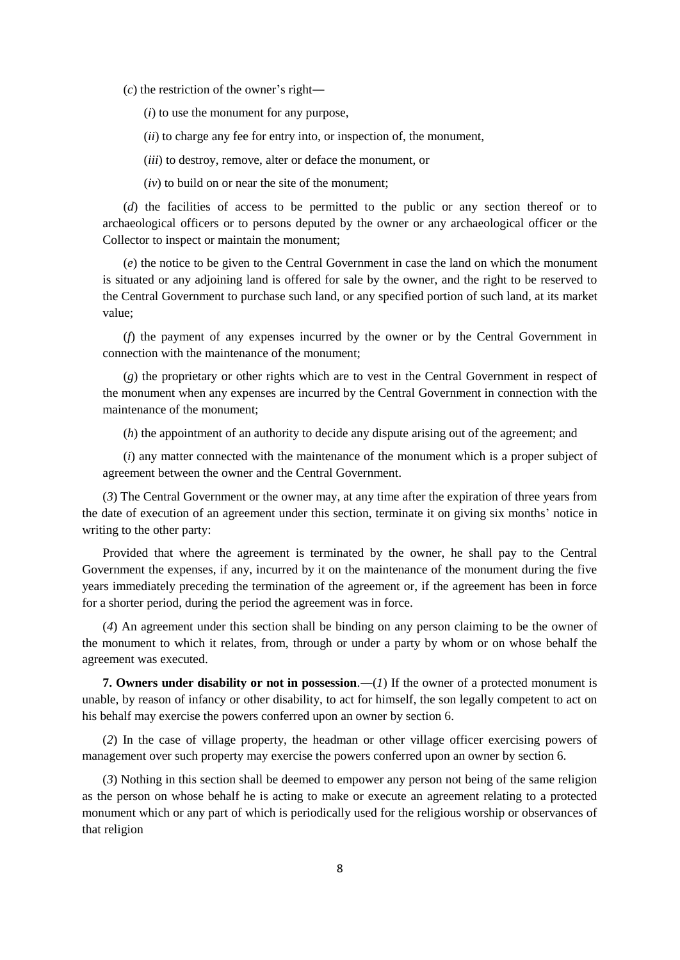(*c*) the restriction of the owner's right―

(*i*) to use the monument for any purpose,

(*ii*) to charge any fee for entry into, or inspection of, the monument,

(*iii*) to destroy, remove, alter or deface the monument, or

(*iv*) to build on or near the site of the monument;

(*d*) the facilities of access to be permitted to the public or any section thereof or to archaeological officers or to persons deputed by the owner or any archaeological officer or the Collector to inspect or maintain the monument;

(*e*) the notice to be given to the Central Government in case the land on which the monument is situated or any adjoining land is offered for sale by the owner, and the right to be reserved to the Central Government to purchase such land, or any specified portion of such land, at its market value;

(*f*) the payment of any expenses incurred by the owner or by the Central Government in connection with the maintenance of the monument;

(*g*) the proprietary or other rights which are to vest in the Central Government in respect of the monument when any expenses are incurred by the Central Government in connection with the maintenance of the monument;

(*h*) the appointment of an authority to decide any dispute arising out of the agreement; and

(*i*) any matter connected with the maintenance of the monument which is a proper subject of agreement between the owner and the Central Government.

(*3*) The Central Government or the owner may, at any time after the expiration of three years from the date of execution of an agreement under this section, terminate it on giving six months' notice in writing to the other party:

Provided that where the agreement is terminated by the owner, he shall pay to the Central Government the expenses, if any, incurred by it on the maintenance of the monument during the five years immediately preceding the termination of the agreement or, if the agreement has been in force for a shorter period, during the period the agreement was in force.

(*4*) An agreement under this section shall be binding on any person claiming to be the owner of the monument to which it relates, from, through or under a party by whom or on whose behalf the agreement was executed.

**7. Owners under disability or not in possession.—(***1***)** If the owner of a protected monument is unable, by reason of infancy or other disability, to act for himself, the son legally competent to act on his behalf may exercise the powers conferred upon an owner by section 6.

(*2*) In the case of village property, the headman or other village officer exercising powers of management over such property may exercise the powers conferred upon an owner by section 6.

(*3*) Nothing in this section shall be deemed to empower any person not being of the same religion as the person on whose behalf he is acting to make or execute an agreement relating to a protected monument which or any part of which is periodically used for the religious worship or observances of that religion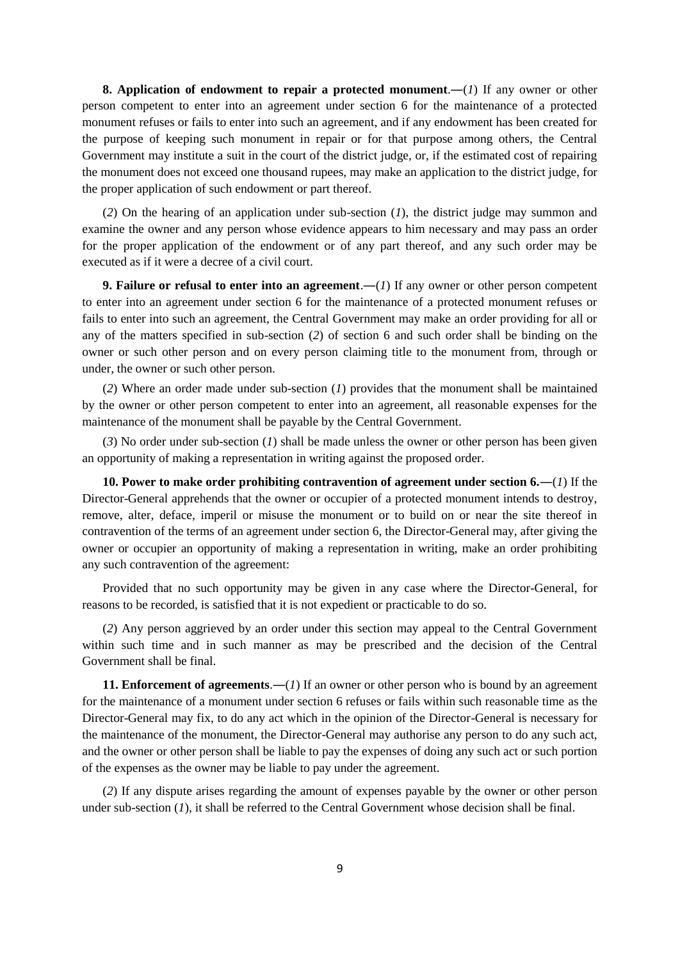**8. Application of endowment to repair a protected monument**.―(*1*) If any owner or other person competent to enter into an agreement under section 6 for the maintenance of a protected monument refuses or fails to enter into such an agreement, and if any endowment has been created for the purpose of keeping such monument in repair or for that purpose among others, the Central Government may institute a suit in the court of the district judge, or, if the estimated cost of repairing the monument does not exceed one thousand rupees, may make an application to the district judge, for the proper application of such endowment or part thereof.

(*2*) On the hearing of an application under sub-section (*1*), the district judge may summon and examine the owner and any person whose evidence appears to him necessary and may pass an order for the proper application of the endowment or of any part thereof, and any such order may be executed as if it were a decree of a civil court.

**9. Failure or refusal to enter into an agreement.—(***1***) If any owner or other person competent** to enter into an agreement under section 6 for the maintenance of a protected monument refuses or fails to enter into such an agreement, the Central Government may make an order providing for all or any of the matters specified in sub-section (*2*) of section 6 and such order shall be binding on the owner or such other person and on every person claiming title to the monument from, through or under, the owner or such other person.

(*2*) Where an order made under sub-section (*1*) provides that the monument shall be maintained by the owner or other person competent to enter into an agreement, all reasonable expenses for the maintenance of the monument shall be payable by the Central Government.

(*3*) No order under sub-section (*1*) shall be made unless the owner or other person has been given an opportunity of making a representation in writing against the proposed order.

**10. Power to make order prohibiting contravention of agreement under section 6.**―(*1*) If the Director-General apprehends that the owner or occupier of a protected monument intends to destroy, remove, alter, deface, imperil or misuse the monument or to build on or near the site thereof in contravention of the terms of an agreement under section 6, the Director-General may, after giving the owner or occupier an opportunity of making a representation in writing, make an order prohibiting any such contravention of the agreement:

Provided that no such opportunity may be given in any case where the Director-General, for reasons to be recorded, is satisfied that it is not expedient or practicable to do so.

(*2*) Any person aggrieved by an order under this section may appeal to the Central Government within such time and in such manner as may be prescribed and the decision of the Central Government shall be final.

**11. Enforcement of agreements**.―(*1*) If an owner or other person who is bound by an agreement for the maintenance of a monument under section 6 refuses or fails within such reasonable time as the Director-General may fix, to do any act which in the opinion of the Director-General is necessary for the maintenance of the monument, the Director-General may authorise any person to do any such act, and the owner or other person shall be liable to pay the expenses of doing any such act or such portion of the expenses as the owner may be liable to pay under the agreement.

(*2*) If any dispute arises regarding the amount of expenses payable by the owner or other person under sub-section (*1*), it shall be referred to the Central Government whose decision shall be final.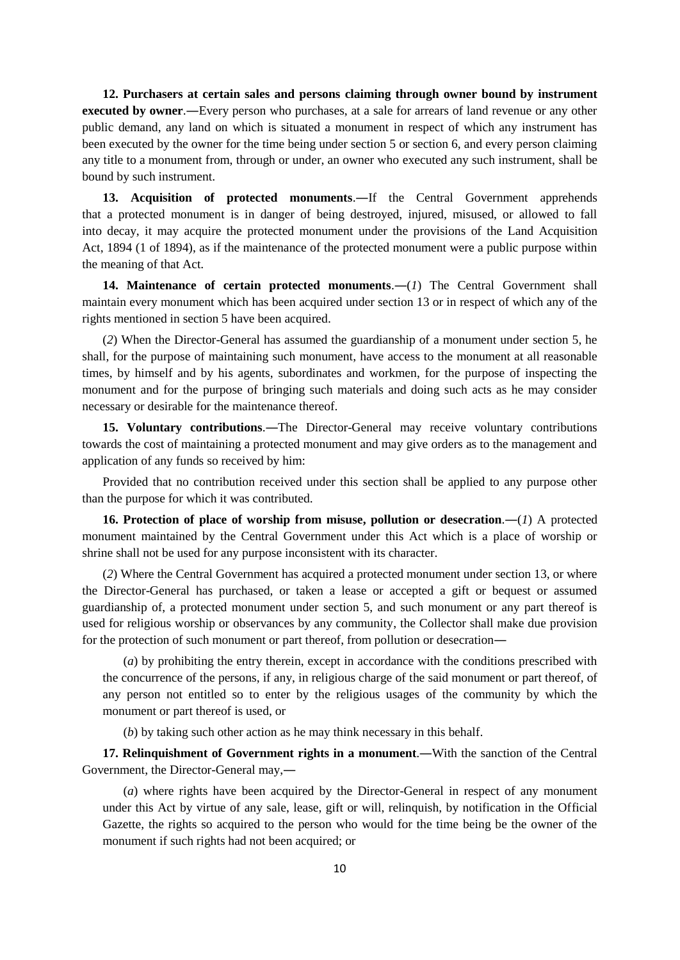**12. Purchasers at certain sales and persons claiming through owner bound by instrument executed by owner**.―Every person who purchases, at a sale for arrears of land revenue or any other public demand, any land on which is situated a monument in respect of which any instrument has been executed by the owner for the time being under section 5 or section 6, and every person claiming any title to a monument from, through or under, an owner who executed any such instrument, shall be bound by such instrument.

**13. Acquisition of protected monuments**.―If the Central Government apprehends that a protected monument is in danger of being destroyed, injured, misused, or allowed to fall into decay, it may acquire the protected monument under the provisions of the Land Acquisition Act, 1894 (1 of 1894), as if the maintenance of the protected monument were a public purpose within the meaning of that Act.

**14. Maintenance of certain protected monuments**.―(*1*) The Central Government shall maintain every monument which has been acquired under section 13 or in respect of which any of the rights mentioned in section 5 have been acquired.

(*2*) When the Director-General has assumed the guardianship of a monument under section 5, he shall, for the purpose of maintaining such monument, have access to the monument at all reasonable times, by himself and by his agents, subordinates and workmen, for the purpose of inspecting the monument and for the purpose of bringing such materials and doing such acts as he may consider necessary or desirable for the maintenance thereof.

**15. Voluntary contributions**.―The Director-General may receive voluntary contributions towards the cost of maintaining a protected monument and may give orders as to the management and application of any funds so received by him:

Provided that no contribution received under this section shall be applied to any purpose other than the purpose for which it was contributed.

**16. Protection of place of worship from misuse, pollution or desecration**.―(*1*) A protected monument maintained by the Central Government under this Act which is a place of worship or shrine shall not be used for any purpose inconsistent with its character.

(*2*) Where the Central Government has acquired a protected monument under section 13, or where the Director-General has purchased, or taken a lease or accepted a gift or bequest or assumed guardianship of, a protected monument under section 5, and such monument or any part thereof is used for religious worship or observances by any community, the Collector shall make due provision for the protection of such monument or part thereof, from pollution or desecration―

(*a*) by prohibiting the entry therein, except in accordance with the conditions prescribed with the concurrence of the persons, if any, in religious charge of the said monument or part thereof, of any person not entitled so to enter by the religious usages of the community by which the monument or part thereof is used, or

(*b*) by taking such other action as he may think necessary in this behalf.

**17. Relinquishment of Government rights in a monument**.―With the sanction of the Central Government, the Director-General may,―

(*a*) where rights have been acquired by the Director-General in respect of any monument under this Act by virtue of any sale, lease, gift or will, relinquish, by notification in the Official Gazette, the rights so acquired to the person who would for the time being be the owner of the monument if such rights had not been acquired; or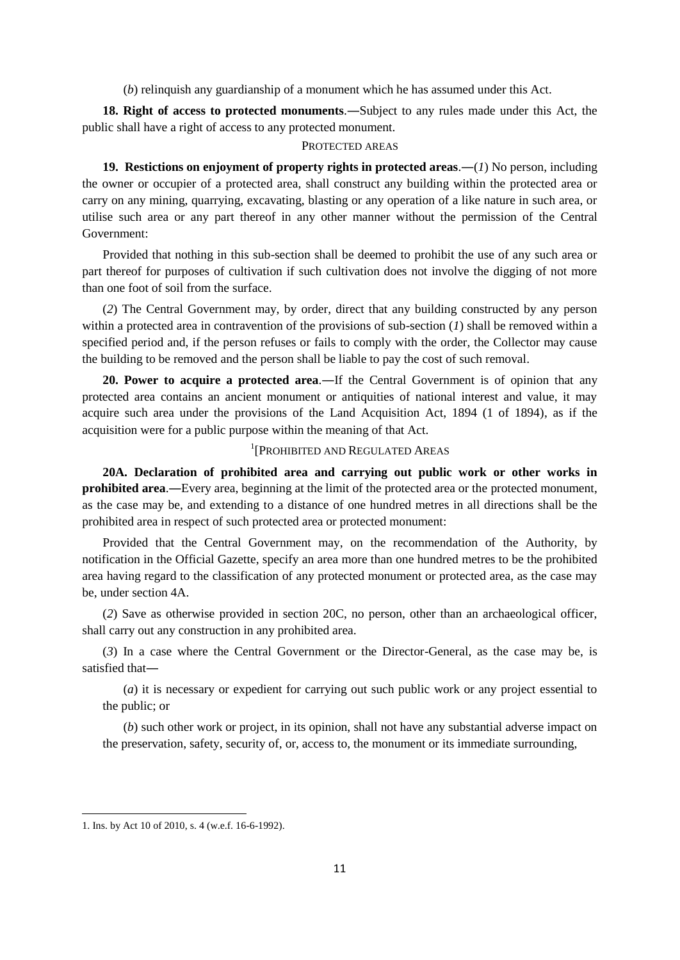(*b*) relinquish any guardianship of a monument which he has assumed under this Act.

**18. Right of access to protected monuments**.―Subject to any rules made under this Act, the public shall have a right of access to any protected monument.

### PROTECTED AREAS

**19. Restictions on enjoyment of property rights in protected areas**.―(*1*) No person, including the owner or occupier of a protected area, shall construct any building within the protected area or carry on any mining, quarrying, excavating, blasting or any operation of a like nature in such area, or utilise such area or any part thereof in any other manner without the permission of the Central Government:

Provided that nothing in this sub-section shall be deemed to prohibit the use of any such area or part thereof for purposes of cultivation if such cultivation does not involve the digging of not more than one foot of soil from the surface.

(*2*) The Central Government may, by order, direct that any building constructed by any person within a protected area in contravention of the provisions of sub-section  $(1)$  shall be removed within a specified period and, if the person refuses or fails to comply with the order, the Collector may cause the building to be removed and the person shall be liable to pay the cost of such removal.

**20. Power to acquire a protected area**.―If the Central Government is of opinion that any protected area contains an ancient monument or antiquities of national interest and value, it may acquire such area under the provisions of the Land Acquisition Act, 1894 (1 of 1894), as if the acquisition were for a public purpose within the meaning of that Act.

# 1 [PROHIBITED AND REGULATED AREAS

**20A. Declaration of prohibited area and carrying out public work or other works in prohibited area**.―Every area, beginning at the limit of the protected area or the protected monument, as the case may be, and extending to a distance of one hundred metres in all directions shall be the prohibited area in respect of such protected area or protected monument:

Provided that the Central Government may, on the recommendation of the Authority, by notification in the Official Gazette, specify an area more than one hundred metres to be the prohibited area having regard to the classification of any protected monument or protected area, as the case may be, under section 4A.

(*2*) Save as otherwise provided in section 20C, no person, other than an archaeological officer, shall carry out any construction in any prohibited area.

(*3*) In a case where the Central Government or the Director-General, as the case may be, is satisfied that―

(*a*) it is necessary or expedient for carrying out such public work or any project essential to the public; or

(*b*) such other work or project, in its opinion, shall not have any substantial adverse impact on the preservation, safety, security of, or, access to, the monument or its immediate surrounding,

**.** 

<sup>1.</sup> Ins. by Act 10 of 2010, s. 4 (w.e.f. 16-6-1992).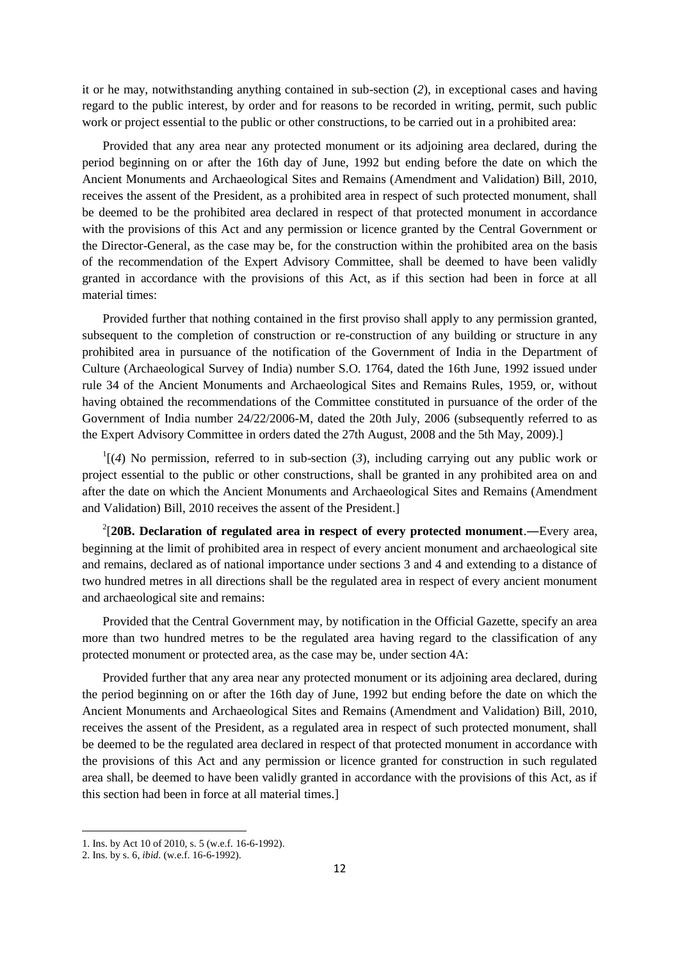it or he may, notwithstanding anything contained in sub-section (*2*), in exceptional cases and having regard to the public interest, by order and for reasons to be recorded in writing, permit, such public work or project essential to the public or other constructions, to be carried out in a prohibited area:

Provided that any area near any protected monument or its adjoining area declared, during the period beginning on or after the 16th day of June, 1992 but ending before the date on which the Ancient Monuments and Archaeological Sites and Remains (Amendment and Validation) Bill, 2010, receives the assent of the President, as a prohibited area in respect of such protected monument, shall be deemed to be the prohibited area declared in respect of that protected monument in accordance with the provisions of this Act and any permission or licence granted by the Central Government or the Director-General, as the case may be, for the construction within the prohibited area on the basis of the recommendation of the Expert Advisory Committee, shall be deemed to have been validly granted in accordance with the provisions of this Act, as if this section had been in force at all material times:

Provided further that nothing contained in the first proviso shall apply to any permission granted, subsequent to the completion of construction or re-construction of any building or structure in any prohibited area in pursuance of the notification of the Government of India in the Department of Culture (Archaeological Survey of India) number S.O. 1764, dated the 16th June, 1992 issued under rule 34 of the Ancient Monuments and Archaeological Sites and Remains Rules, 1959, or, without having obtained the recommendations of the Committee constituted in pursuance of the order of the Government of India number 24/22/2006-M, dated the 20th July, 2006 (subsequently referred to as the Expert Advisory Committee in orders dated the 27th August, 2008 and the 5th May, 2009).]

 $\mathcal{L}^1[(4)$  No permission, referred to in sub-section (3), including carrying out any public work or project essential to the public or other constructions, shall be granted in any prohibited area on and after the date on which the Ancient Monuments and Archaeological Sites and Remains (Amendment and Validation) Bill, 2010 receives the assent of the President.]

2 [**20B. Declaration of regulated area in respect of every protected monument**.―Every area, beginning at the limit of prohibited area in respect of every ancient monument and archaeological site and remains, declared as of national importance under sections 3 and 4 and extending to a distance of two hundred metres in all directions shall be the regulated area in respect of every ancient monument and archaeological site and remains:

Provided that the Central Government may, by notification in the Official Gazette, specify an area more than two hundred metres to be the regulated area having regard to the classification of any protected monument or protected area, as the case may be, under section 4A:

Provided further that any area near any protected monument or its adjoining area declared, during the period beginning on or after the 16th day of June, 1992 but ending before the date on which the Ancient Monuments and Archaeological Sites and Remains (Amendment and Validation) Bill, 2010, receives the assent of the President, as a regulated area in respect of such protected monument, shall be deemed to be the regulated area declared in respect of that protected monument in accordance with the provisions of this Act and any permission or licence granted for construction in such regulated area shall, be deemed to have been validly granted in accordance with the provisions of this Act, as if this section had been in force at all material times.]

**.** 

<sup>1.</sup> Ins. by Act 10 of 2010, s. 5 (w.e.f. 16-6-1992).

<sup>2.</sup> Ins. by s. 6, *ibid*. (w.e.f. 16-6-1992).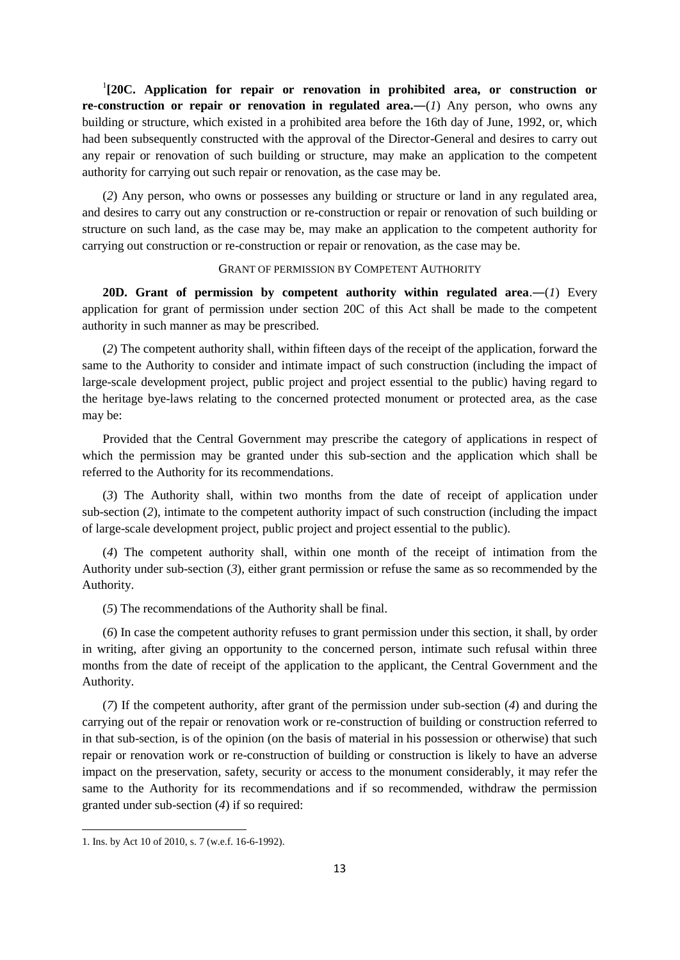<sup>1</sup>[20C. Application for repair or renovation in prohibited area, or construction or **re-construction or repair or renovation in regulated area.—(***1***) Any person, who owns any** building or structure, which existed in a prohibited area before the 16th day of June, 1992, or, which had been subsequently constructed with the approval of the Director-General and desires to carry out any repair or renovation of such building or structure, may make an application to the competent authority for carrying out such repair or renovation, as the case may be.

(*2*) Any person, who owns or possesses any building or structure or land in any regulated area, and desires to carry out any construction or re-construction or repair or renovation of such building or structure on such land, as the case may be, may make an application to the competent authority for carrying out construction or re-construction or repair or renovation, as the case may be.

### GRANT OF PERMISSION BY COMPETENT AUTHORITY

**20D.** Grant of permission by competent authority within regulated area.—(1) Every application for grant of permission under section 20C of this Act shall be made to the competent authority in such manner as may be prescribed.

(*2*) The competent authority shall, within fifteen days of the receipt of the application, forward the same to the Authority to consider and intimate impact of such construction (including the impact of large-scale development project, public project and project essential to the public) having regard to the heritage bye-laws relating to the concerned protected monument or protected area, as the case may be:

Provided that the Central Government may prescribe the category of applications in respect of which the permission may be granted under this sub-section and the application which shall be referred to the Authority for its recommendations.

(*3*) The Authority shall, within two months from the date of receipt of application under sub-section (*2*), intimate to the competent authority impact of such construction (including the impact of large-scale development project, public project and project essential to the public).

(*4*) The competent authority shall, within one month of the receipt of intimation from the Authority under sub-section (*3*), either grant permission or refuse the same as so recommended by the Authority.

(*5*) The recommendations of the Authority shall be final.

(*6*) In case the competent authority refuses to grant permission under this section, it shall, by order in writing, after giving an opportunity to the concerned person, intimate such refusal within three months from the date of receipt of the application to the applicant, the Central Government and the Authority.

(*7*) If the competent authority, after grant of the permission under sub-section (*4*) and during the carrying out of the repair or renovation work or re-construction of building or construction referred to in that sub-section, is of the opinion (on the basis of material in his possession or otherwise) that such repair or renovation work or re-construction of building or construction is likely to have an adverse impact on the preservation, safety, security or access to the monument considerably, it may refer the same to the Authority for its recommendations and if so recommended, withdraw the permission granted under sub-section (*4*) if so required:

<sup>1.</sup> Ins. by Act 10 of 2010, s. 7 (w.e.f. 16-6-1992).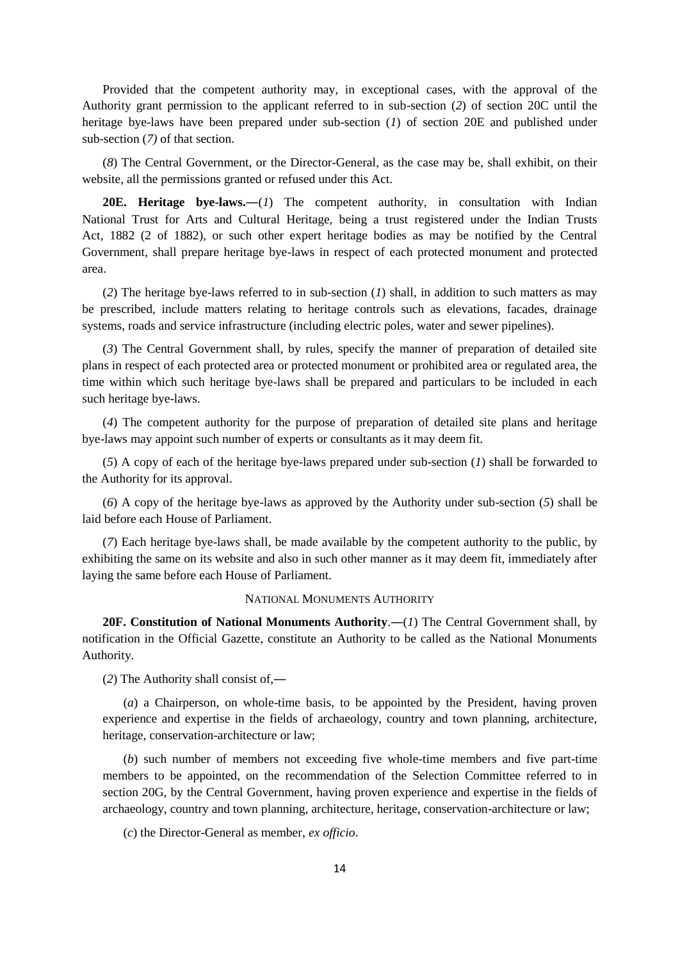Provided that the competent authority may, in exceptional cases, with the approval of the Authority grant permission to the applicant referred to in sub-section (*2*) of section 20C until the heritage bye-laws have been prepared under sub-section (*1*) of section 20E and published under sub-section (*7)* of that section.

(*8*) The Central Government, or the Director-General, as the case may be, shall exhibit, on their website, all the permissions granted or refused under this Act.

**20E. Heritage bye-laws.―**(*1*) The competent authority, in consultation with Indian National Trust for Arts and Cultural Heritage, being a trust registered under the Indian Trusts Act, 1882 (2 of 1882), or such other expert heritage bodies as may be notified by the Central Government, shall prepare heritage bye-laws in respect of each protected monument and protected area.

(*2*) The heritage bye-laws referred to in sub-section (*1*) shall, in addition to such matters as may be prescribed, include matters relating to heritage controls such as elevations, facades, drainage systems, roads and service infrastructure (including electric poles, water and sewer pipelines).

(*3*) The Central Government shall, by rules, specify the manner of preparation of detailed site plans in respect of each protected area or protected monument or prohibited area or regulated area, the time within which such heritage bye-laws shall be prepared and particulars to be included in each such heritage bye-laws.

(*4*) The competent authority for the purpose of preparation of detailed site plans and heritage bye-laws may appoint such number of experts or consultants as it may deem fit.

(*5*) A copy of each of the heritage bye-laws prepared under sub-section (*1*) shall be forwarded to the Authority for its approval.

(*6*) A copy of the heritage bye-laws as approved by the Authority under sub-section (*5*) shall be laid before each House of Parliament.

(*7*) Each heritage bye-laws shall, be made available by the competent authority to the public, by exhibiting the same on its website and also in such other manner as it may deem fit, immediately after laying the same before each House of Parliament.

## NATIONAL MONUMENTS AUTHORITY

**20F. Constitution of National Monuments Authority**.―(*1*) The Central Government shall, by notification in the Official Gazette, constitute an Authority to be called as the National Monuments Authority.

(*2*) The Authority shall consist of,―

(*a*) a Chairperson, on whole-time basis, to be appointed by the President, having proven experience and expertise in the fields of archaeology, country and town planning, architecture, heritage, conservation-architecture or law;

(*b*) such number of members not exceeding five whole-time members and five part-time members to be appointed, on the recommendation of the Selection Committee referred to in section 20G, by the Central Government, having proven experience and expertise in the fields of archaeology, country and town planning, architecture, heritage, conservation-architecture or law;

(*c*) the Director-General as member, *ex officio*.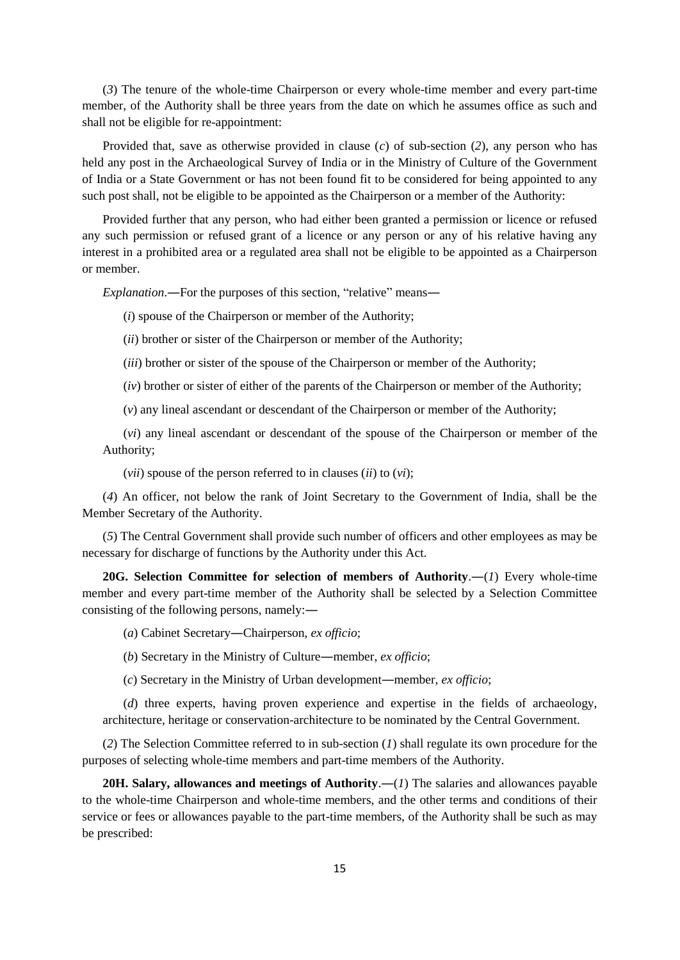(*3*) The tenure of the whole-time Chairperson or every whole-time member and every part-time member, of the Authority shall be three years from the date on which he assumes office as such and shall not be eligible for re-appointment:

Provided that, save as otherwise provided in clause (*c*) of sub-section (*2*), any person who has held any post in the Archaeological Survey of India or in the Ministry of Culture of the Government of India or a State Government or has not been found fit to be considered for being appointed to any such post shall, not be eligible to be appointed as the Chairperson or a member of the Authority:

Provided further that any person, who had either been granted a permission or licence or refused any such permission or refused grant of a licence or any person or any of his relative having any interest in a prohibited area or a regulated area shall not be eligible to be appointed as a Chairperson or member.

*Explanation*.―For the purposes of this section, "relative" means―

(*i*) spouse of the Chairperson or member of the Authority;

(*ii*) brother or sister of the Chairperson or member of the Authority;

(*iii*) brother or sister of the spouse of the Chairperson or member of the Authority;

(*iv*) brother or sister of either of the parents of the Chairperson or member of the Authority;

(*v*) any lineal ascendant or descendant of the Chairperson or member of the Authority;

(*vi*) any lineal ascendant or descendant of the spouse of the Chairperson or member of the Authority;

(*vii*) spouse of the person referred to in clauses (*ii*) to (*vi*);

(*4*) An officer, not below the rank of Joint Secretary to the Government of India, shall be the Member Secretary of the Authority.

(*5*) The Central Government shall provide such number of officers and other employees as may be necessary for discharge of functions by the Authority under this Act.

**20G. Selection Committee for selection of members of Authority**.―(*1*) Every whole-time member and every part-time member of the Authority shall be selected by a Selection Committee consisting of the following persons, namely:―

(*a*) Cabinet Secretary―Chairperson, *ex officio*;

(*b*) Secretary in the Ministry of Culture―member, *ex officio*;

(*c*) Secretary in the Ministry of Urban development―member, *ex officio*;

(*d*) three experts, having proven experience and expertise in the fields of archaeology, architecture, heritage or conservation-architecture to be nominated by the Central Government.

(*2*) The Selection Committee referred to in sub-section (*1*) shall regulate its own procedure for the purposes of selecting whole-time members and part-time members of the Authority.

**20H. Salary, allowances and meetings of Authority**.―(*1*) The salaries and allowances payable to the whole-time Chairperson and whole-time members, and the other terms and conditions of their service or fees or allowances payable to the part-time members, of the Authority shall be such as may be prescribed: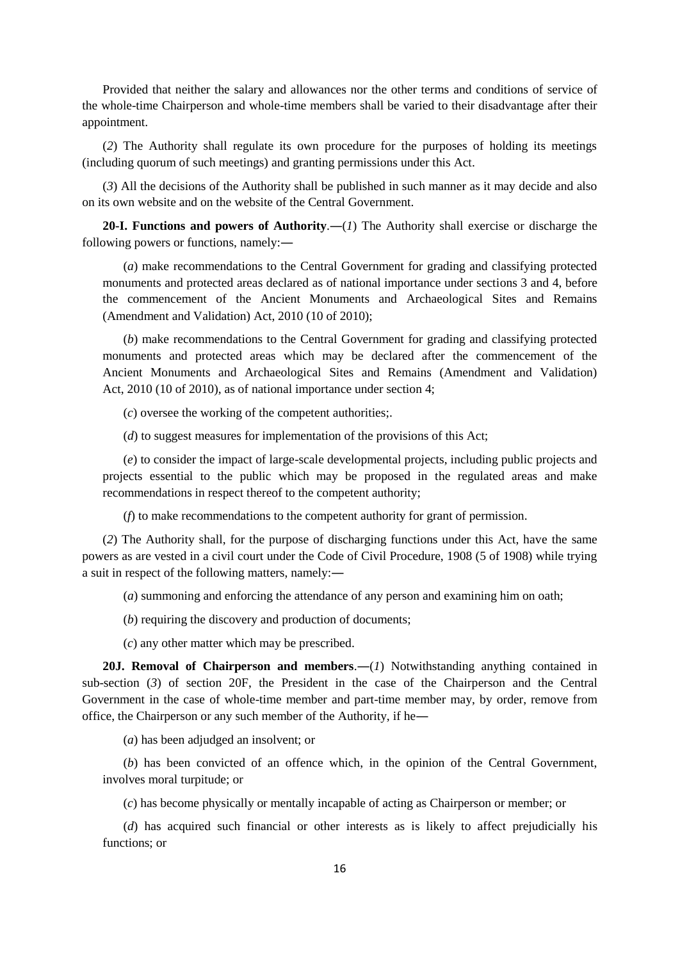Provided that neither the salary and allowances nor the other terms and conditions of service of the whole-time Chairperson and whole-time members shall be varied to their disadvantage after their appointment.

(*2*) The Authority shall regulate its own procedure for the purposes of holding its meetings (including quorum of such meetings) and granting permissions under this Act.

(*3*) All the decisions of the Authority shall be published in such manner as it may decide and also on its own website and on the website of the Central Government.

**20-I. Functions and powers of Authority**.―(*1*) The Authority shall exercise or discharge the following powers or functions, namely:―

(*a*) make recommendations to the Central Government for grading and classifying protected monuments and protected areas declared as of national importance under sections 3 and 4, before the commencement of the Ancient Monuments and Archaeological Sites and Remains (Amendment and Validation) Act, 2010 (10 of 2010);

(*b*) make recommendations to the Central Government for grading and classifying protected monuments and protected areas which may be declared after the commencement of the Ancient Monuments and Archaeological Sites and Remains (Amendment and Validation) Act, 2010 (10 of 2010), as of national importance under section 4;

(*c*) oversee the working of the competent authorities;.

(*d*) to suggest measures for implementation of the provisions of this Act;

(*e*) to consider the impact of large-scale developmental projects, including public projects and projects essential to the public which may be proposed in the regulated areas and make recommendations in respect thereof to the competent authority;

(*f*) to make recommendations to the competent authority for grant of permission.

(*2*) The Authority shall, for the purpose of discharging functions under this Act, have the same powers as are vested in a civil court under the Code of Civil Procedure, 1908 (5 of 1908) while trying a suit in respect of the following matters, namely:―

(*a*) summoning and enforcing the attendance of any person and examining him on oath;

(*b*) requiring the discovery and production of documents;

(*c*) any other matter which may be prescribed.

20J. **Removal of Chairperson and members.**—(*1*) Notwithstanding anything contained in sub-section (*3*) of section 20F, the President in the case of the Chairperson and the Central Government in the case of whole-time member and part-time member may, by order, remove from office, the Chairperson or any such member of the Authority, if he―

(*a*) has been adjudged an insolvent; or

(*b*) has been convicted of an offence which, in the opinion of the Central Government, involves moral turpitude; or

(*c*) has become physically or mentally incapable of acting as Chairperson or member; or

(*d*) has acquired such financial or other interests as is likely to affect prejudicially his functions; or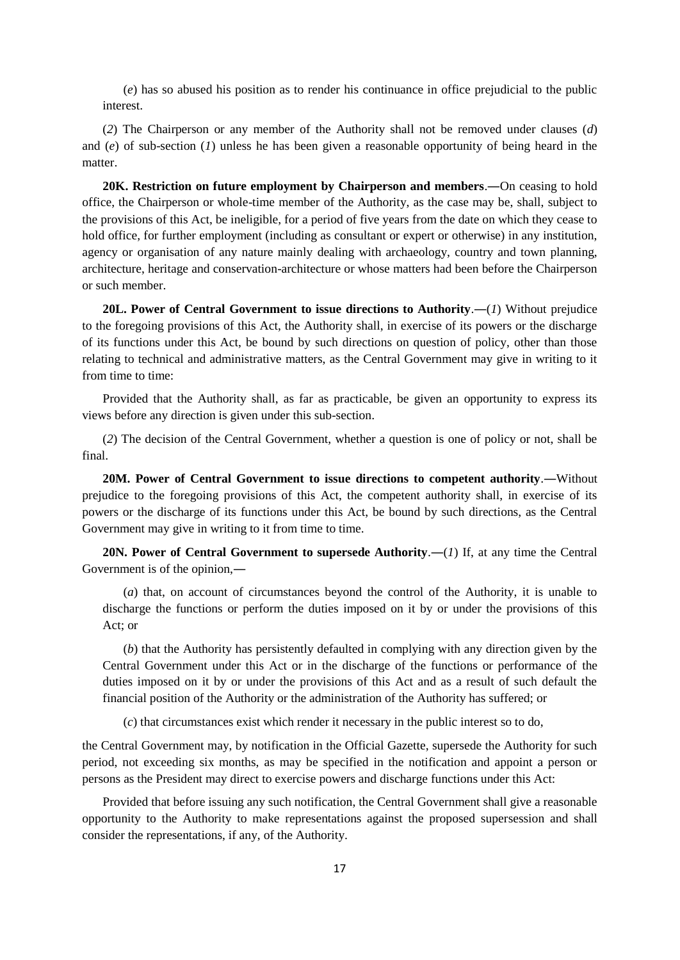(*e*) has so abused his position as to render his continuance in office prejudicial to the public interest.

(*2*) The Chairperson or any member of the Authority shall not be removed under clauses (*d*) and (*e*) of sub-section (*1*) unless he has been given a reasonable opportunity of being heard in the matter.

**20K. Restriction on future employment by Chairperson and members**.―On ceasing to hold office, the Chairperson or whole-time member of the Authority, as the case may be, shall, subject to the provisions of this Act, be ineligible, for a period of five years from the date on which they cease to hold office, for further employment (including as consultant or expert or otherwise) in any institution, agency or organisation of any nature mainly dealing with archaeology, country and town planning, architecture, heritage and conservation-architecture or whose matters had been before the Chairperson or such member.

**20L. Power of Central Government to issue directions to Authority**.―(*1*) Without prejudice to the foregoing provisions of this Act, the Authority shall, in exercise of its powers or the discharge of its functions under this Act, be bound by such directions on question of policy, other than those relating to technical and administrative matters, as the Central Government may give in writing to it from time to time:

Provided that the Authority shall, as far as practicable, be given an opportunity to express its views before any direction is given under this sub-section.

(*2*) The decision of the Central Government, whether a question is one of policy or not, shall be final.

**20M. Power of Central Government to issue directions to competent authority**.―Without prejudice to the foregoing provisions of this Act, the competent authority shall, in exercise of its powers or the discharge of its functions under this Act, be bound by such directions, as the Central Government may give in writing to it from time to time.

**20N. Power of Central Government to supersede Authority**.―(*1*) If, at any time the Central Government is of the opinion,―

(*a*) that, on account of circumstances beyond the control of the Authority, it is unable to discharge the functions or perform the duties imposed on it by or under the provisions of this Act; or

(*b*) that the Authority has persistently defaulted in complying with any direction given by the Central Government under this Act or in the discharge of the functions or performance of the duties imposed on it by or under the provisions of this Act and as a result of such default the financial position of the Authority or the administration of the Authority has suffered; or

(*c*) that circumstances exist which render it necessary in the public interest so to do,

the Central Government may, by notification in the Official Gazette, supersede the Authority for such period, not exceeding six months, as may be specified in the notification and appoint a person or persons as the President may direct to exercise powers and discharge functions under this Act:

Provided that before issuing any such notification, the Central Government shall give a reasonable opportunity to the Authority to make representations against the proposed supersession and shall consider the representations, if any, of the Authority.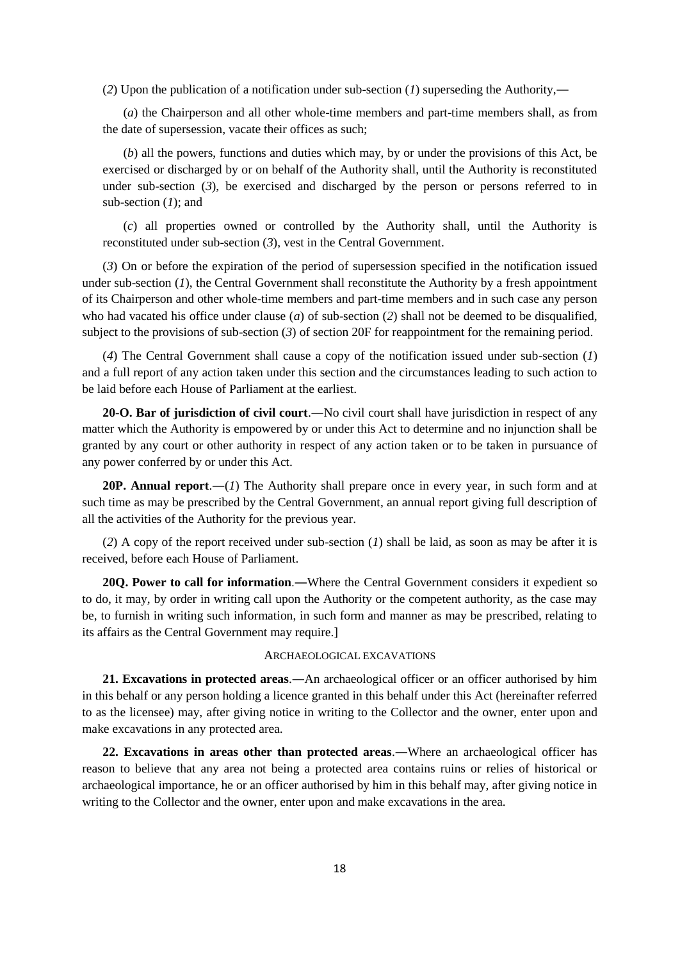(*2*) Upon the publication of a notification under sub-section (*1*) superseding the Authority,―

(*a*) the Chairperson and all other whole-time members and part-time members shall, as from the date of supersession, vacate their offices as such;

(*b*) all the powers, functions and duties which may, by or under the provisions of this Act, be exercised or discharged by or on behalf of the Authority shall, until the Authority is reconstituted under sub-section (*3*), be exercised and discharged by the person or persons referred to in sub-section (*1*); and

(*c*) all properties owned or controlled by the Authority shall, until the Authority is reconstituted under sub-section (*3*), vest in the Central Government.

(*3*) On or before the expiration of the period of supersession specified in the notification issued under sub-section  $(I)$ , the Central Government shall reconstitute the Authority by a fresh appointment of its Chairperson and other whole-time members and part-time members and in such case any person who had vacated his office under clause (*a*) of sub-section (*2*) shall not be deemed to be disqualified, subject to the provisions of sub-section (*3*) of section 20F for reappointment for the remaining period.

(*4*) The Central Government shall cause a copy of the notification issued under sub-section (*1*) and a full report of any action taken under this section and the circumstances leading to such action to be laid before each House of Parliament at the earliest.

**20-O. Bar of jurisdiction of civil court**.―No civil court shall have jurisdiction in respect of any matter which the Authority is empowered by or under this Act to determine and no injunction shall be granted by any court or other authority in respect of any action taken or to be taken in pursuance of any power conferred by or under this Act.

**20P. Annual report**.―(*1*) The Authority shall prepare once in every year, in such form and at such time as may be prescribed by the Central Government, an annual report giving full description of all the activities of the Authority for the previous year.

(*2*) A copy of the report received under sub-section (*1*) shall be laid, as soon as may be after it is received, before each House of Parliament.

**20Q. Power to call for information**.―Where the Central Government considers it expedient so to do, it may, by order in writing call upon the Authority or the competent authority, as the case may be, to furnish in writing such information, in such form and manner as may be prescribed, relating to its affairs as the Central Government may require.]

### ARCHAEOLOGICAL EXCAVATIONS

**21. Excavations in protected areas**.―An archaeological officer or an officer authorised by him in this behalf or any person holding a licence granted in this behalf under this Act (hereinafter referred to as the licensee) may, after giving notice in writing to the Collector and the owner, enter upon and make excavations in any protected area.

**22. Excavations in areas other than protected areas**.―Where an archaeological officer has reason to believe that any area not being a protected area contains ruins or relies of historical or archaeological importance, he or an officer authorised by him in this behalf may, after giving notice in writing to the Collector and the owner, enter upon and make excavations in the area.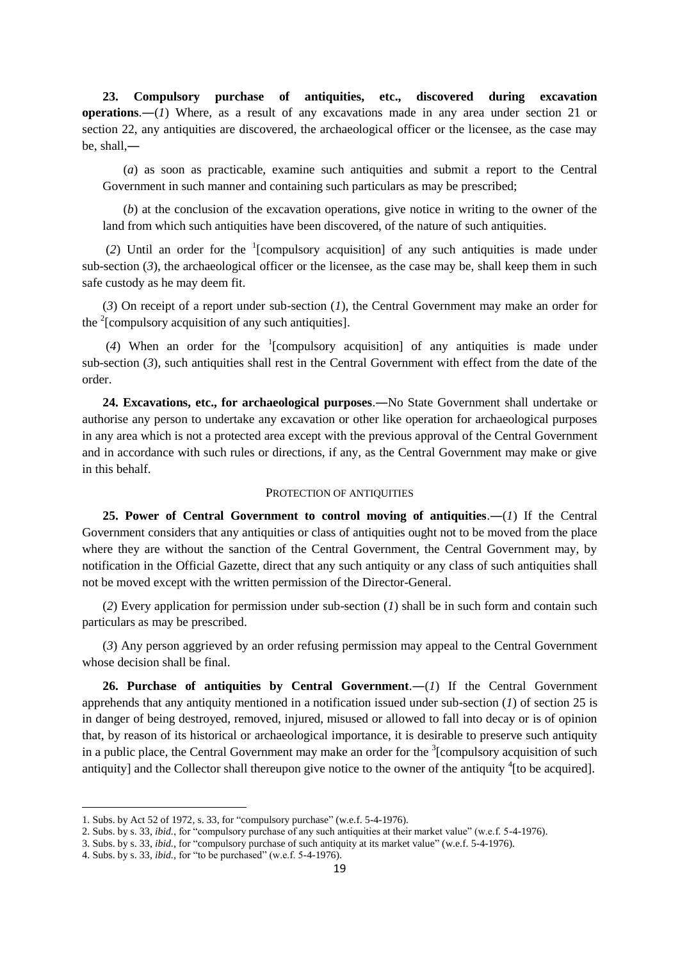**23. Compulsory purchase of antiquities, etc., discovered during excavation operations**.―(*1*) Where, as a result of any excavations made in any area under section 21 or section 22, any antiquities are discovered, the archaeological officer or the licensee, as the case may be, shall,―

(*a*) as soon as practicable, examine such antiquities and submit a report to the Central Government in such manner and containing such particulars as may be prescribed;

(*b*) at the conclusion of the excavation operations, give notice in writing to the owner of the land from which such antiquities have been discovered, of the nature of such antiquities.

(2) Until an order for the  $(2)$  Until an order for the  $(2)$  Until and order  $(2)$ sub-section (3), the archaeological officer or the licensee, as the case may be, shall keep them in such safe custody as he may deem fit.

(*3*) On receipt of a report under sub-section (*1*), the Central Government may make an order for the <sup>2</sup>[compulsory acquisition of any such antiquities].

(4) When an order for the <sup>1</sup>[compulsory acquisition] of any antiquities is made under sub-section (*3*), such antiquities shall rest in the Central Government with effect from the date of the order.

**24. Excavations, etc., for archaeological purposes**.―No State Government shall undertake or authorise any person to undertake any excavation or other like operation for archaeological purposes in any area which is not a protected area except with the previous approval of the Central Government and in accordance with such rules or directions, if any, as the Central Government may make or give in this behalf.

### PROTECTION OF ANTIQUITIES

**25. Power of Central Government to control moving of antiquities**.―(*1*) If the Central Government considers that any antiquities or class of antiquities ought not to be moved from the place where they are without the sanction of the Central Government, the Central Government may, by notification in the Official Gazette, direct that any such antiquity or any class of such antiquities shall not be moved except with the written permission of the Director-General.

(*2*) Every application for permission under sub-section (*1*) shall be in such form and contain such particulars as may be prescribed.

(*3*) Any person aggrieved by an order refusing permission may appeal to the Central Government whose decision shall be final.

**26. Purchase of antiquities by Central Government**.―(*1*) If the Central Government apprehends that any antiquity mentioned in a notification issued under sub-section (*1*) of section 25 is in danger of being destroyed, removed, injured, misused or allowed to fall into decay or is of opinion that, by reason of its historical or archaeological importance, it is desirable to preserve such antiquity in a public place, the Central Government may make an order for the  $\frac{3}{2}$  [compulsory acquisition of such antiquity] and the Collector shall thereupon give notice to the owner of the antiquity  $\rm ^4$  [to be acquired].

1

<sup>1.</sup> Subs. by Act 52 of 1972, s. 33, for "compulsory purchase" (w.e.f. 5-4-1976).

<sup>2.</sup> Subs. by s. 33, *ibid.*, for "compulsory purchase of any such antiquities at their market value" (w.e.f. 5-4-1976).

<sup>3.</sup> Subs. by s. 33, *ibid.,* for "compulsory purchase of such antiquity at its market value" (w.e.f. 5-4-1976).

<sup>4.</sup> Subs. by s. 33, *ibid.,* for "to be purchased" (w.e.f. 5-4-1976).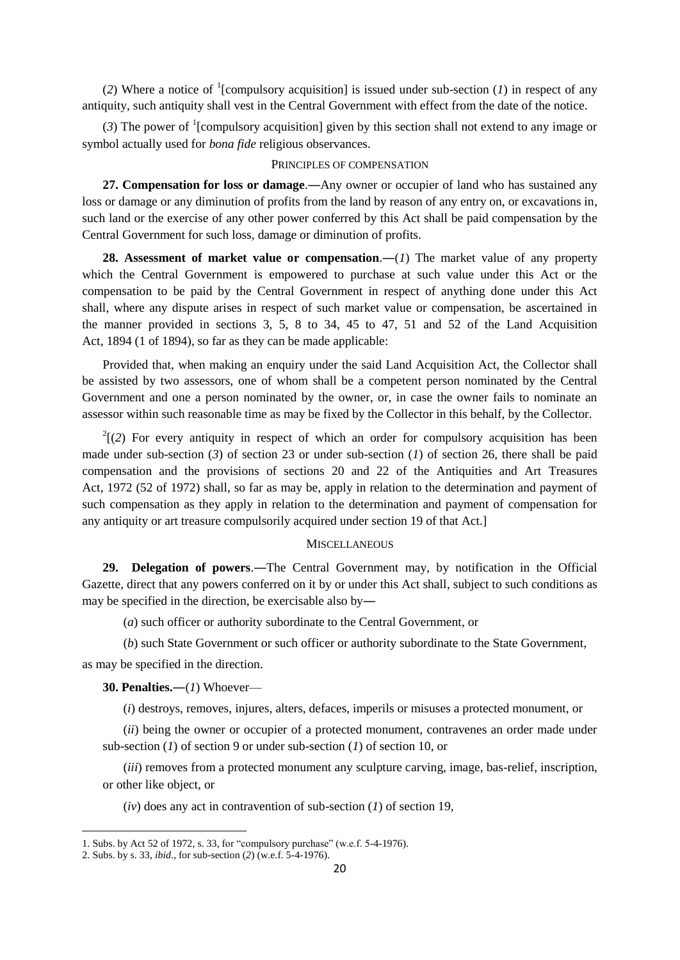(2) Where a notice of <sup>1</sup>[compulsory acquisition] is issued under sub-section (*1*) in respect of any antiquity, such antiquity shall vest in the Central Government with effect from the date of the notice.

 $(3)$  The power of <sup>1</sup>[compulsory acquisition] given by this section shall not extend to any image or symbol actually used for *bona fide* religious observances.

### PRINCIPLES OF COMPENSATION

**27. Compensation for loss or damage**.―Any owner or occupier of land who has sustained any loss or damage or any diminution of profits from the land by reason of any entry on, or excavations in, such land or the exercise of any other power conferred by this Act shall be paid compensation by the Central Government for such loss, damage or diminution of profits.

**28. Assessment of market value or compensation**.―(*1*) The market value of any property which the Central Government is empowered to purchase at such value under this Act or the compensation to be paid by the Central Government in respect of anything done under this Act shall, where any dispute arises in respect of such market value or compensation, be ascertained in the manner provided in sections 3, 5, 8 to 34, 45 to 47, 51 and 52 of the Land Acquisition Act, 1894 (1 of 1894), so far as they can be made applicable:

Provided that, when making an enquiry under the said Land Acquisition Act, the Collector shall be assisted by two assessors, one of whom shall be a competent person nominated by the Central Government and one a person nominated by the owner, or, in case the owner fails to nominate an assessor within such reasonable time as may be fixed by the Collector in this behalf, by the Collector.

 $2(2)$  For every antiquity in respect of which an order for compulsory acquisition has been made under sub-section (*3*) of section 23 or under sub-section (*1*) of section 26, there shall be paid compensation and the provisions of sections 20 and 22 of the Antiquities and Art Treasures Act, 1972 (52 of 1972) shall, so far as may be, apply in relation to the determination and payment of such compensation as they apply in relation to the determination and payment of compensation for any antiquity or art treasure compulsorily acquired under section 19 of that Act.]

## **MISCELLANEOUS**

**29. Delegation of powers**.―The Central Government may, by notification in the Official Gazette, direct that any powers conferred on it by or under this Act shall, subject to such conditions as may be specified in the direction, be exercisable also by―

(*a*) such officer or authority subordinate to the Central Government, or

(*b*) such State Government or such officer or authority subordinate to the State Government,

as may be specified in the direction.

**.** 

**30. Penalties.―**(*1*) Whoever—

(*i*) destroys, removes, injures, alters, defaces, imperils or misuses a protected monument, or

(*ii*) being the owner or occupier of a protected monument, contravenes an order made under sub-section (*1*) of section 9 or under sub-section (*1*) of section 10, or

(*iii*) removes from a protected monument any sculpture carving, image, bas-relief, inscription, or other like object, or

(*iv*) does any act in contravention of sub-section (*1*) of section 19,

<sup>1.</sup> Subs. by Act 52 of 1972, s. 33, for "compulsory purchase" (w.e.f. 5-4-1976).

<sup>2.</sup> Subs. by s. 33, *ibid*., for sub-section (*2*) (w.e.f. 5-4-1976).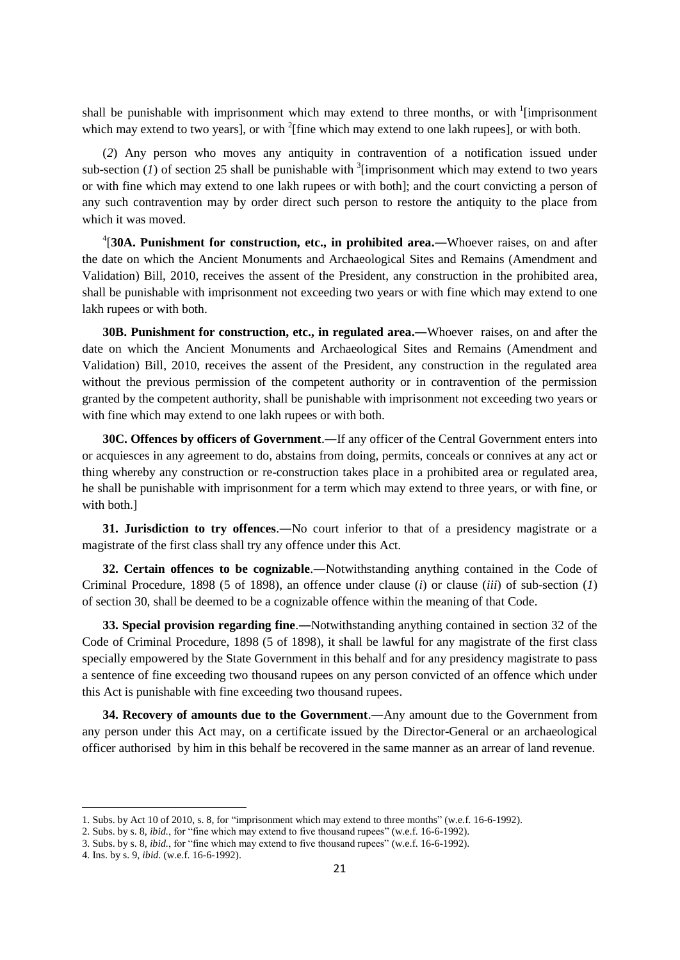shall be punishable with imprisonment which may extend to three months, or with <sup>1</sup>[imprisonment which may extend to two years], or with  $2$ [fine which may extend to one lakh rupees], or with both.

(*2*) Any person who moves any antiquity in contravention of a notification issued under sub-section  $(1)$  of section 25 shall be punishable with <sup>3</sup> [imprisonment which may extend to two years or with fine which may extend to one lakh rupees or with both]; and the court convicting a person of any such contravention may by order direct such person to restore the antiquity to the place from which it was moved.

4 [**30A. Punishment for construction, etc., in prohibited area.―**Whoever raises, on and after the date on which the Ancient Monuments and Archaeological Sites and Remains (Amendment and Validation) Bill, 2010, receives the assent of the President, any construction in the prohibited area, shall be punishable with imprisonment not exceeding two years or with fine which may extend to one lakh rupees or with both.

**30B. Punishment for construction, etc., in regulated area.―**Whoever raises, on and after the date on which the Ancient Monuments and Archaeological Sites and Remains (Amendment and Validation) Bill, 2010, receives the assent of the President, any construction in the regulated area without the previous permission of the competent authority or in contravention of the permission granted by the competent authority, shall be punishable with imprisonment not exceeding two years or with fine which may extend to one lakh rupees or with both.

**30C. Offences by officers of Government**.―If any officer of the Central Government enters into or acquiesces in any agreement to do, abstains from doing, permits, conceals or connives at any act or thing whereby any construction or re-construction takes place in a prohibited area or regulated area, he shall be punishable with imprisonment for a term which may extend to three years, or with fine, or with both.]

**31. Jurisdiction to try offences**.―No court inferior to that of a presidency magistrate or a magistrate of the first class shall try any offence under this Act.

**32. Certain offences to be cognizable**.―Notwithstanding anything contained in the Code of Criminal Procedure, 1898 (5 of 1898), an offence under clause (*i*) or clause (*iii*) of sub-section (*1*) of section 30, shall be deemed to be a cognizable offence within the meaning of that Code.

**33. Special provision regarding fine**.―Notwithstanding anything contained in section 32 of the Code of Criminal Procedure, 1898 (5 of 1898), it shall be lawful for any magistrate of the first class specially empowered by the State Government in this behalf and for any presidency magistrate to pass a sentence of fine exceeding two thousand rupees on any person convicted of an offence which under this Act is punishable with fine exceeding two thousand rupees.

**34. Recovery of amounts due to the Government**.―Any amount due to the Government from any person under this Act may, on a certificate issued by the Director-General or an archaeological officer authorised by him in this behalf be recovered in the same manner as an arrear of land revenue.

1

<sup>1.</sup> Subs. by Act 10 of 2010, s. 8, for "imprisonment which may extend to three months" (w.e.f. 16-6-1992).

<sup>2.</sup> Subs. by s. 8, *ibid.*, for "fine which may extend to five thousand rupees" (w.e.f. 16-6-1992).

<sup>3.</sup> Subs. by s. 8, *ibid.*, for "fine which may extend to five thousand rupees" (w.e.f. 16-6-1992).

<sup>4.</sup> Ins. by s. 9, *ibid*. (w.e.f. 16-6-1992).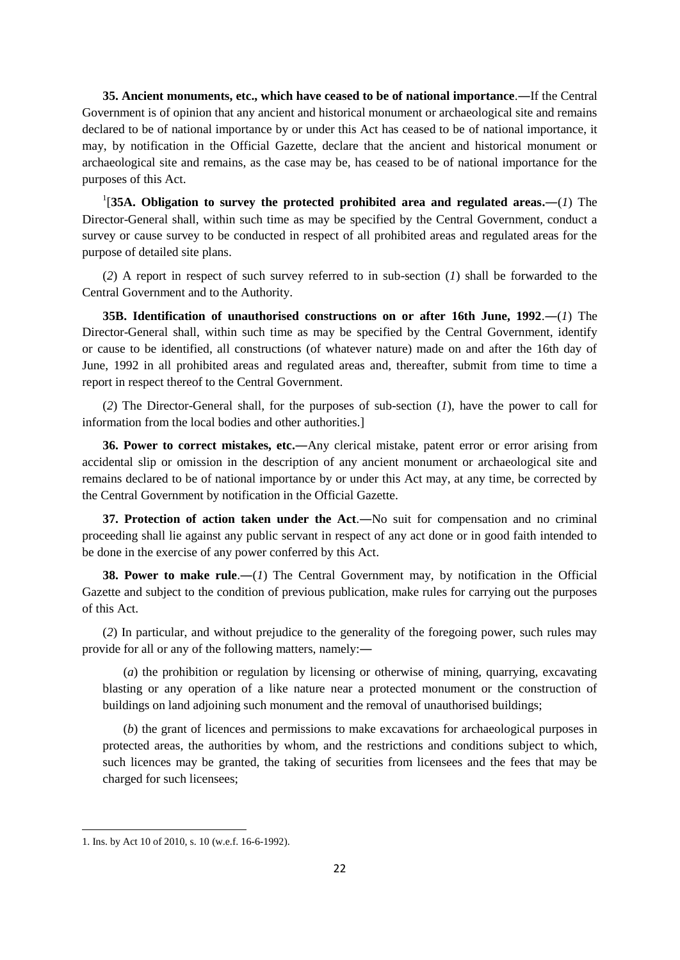**35. Ancient monuments, etc., which have ceased to be of national importance**.―If the Central Government is of opinion that any ancient and historical monument or archaeological site and remains declared to be of national importance by or under this Act has ceased to be of national importance, it may, by notification in the Official Gazette, declare that the ancient and historical monument or archaeological site and remains, as the case may be, has ceased to be of national importance for the purposes of this Act.

1 [**35A. Obligation to survey the protected prohibited area and regulated areas.―**(*1*) The Director-General shall, within such time as may be specified by the Central Government, conduct a survey or cause survey to be conducted in respect of all prohibited areas and regulated areas for the purpose of detailed site plans.

(*2*) A report in respect of such survey referred to in sub-section (*1*) shall be forwarded to the Central Government and to the Authority.

**35B. Identification of unauthorised constructions on or after 16th June, 1992**.―(*1*) The Director-General shall, within such time as may be specified by the Central Government, identify or cause to be identified, all constructions (of whatever nature) made on and after the 16th day of June, 1992 in all prohibited areas and regulated areas and, thereafter, submit from time to time a report in respect thereof to the Central Government.

(*2*) The Director-General shall, for the purposes of sub-section (*1*), have the power to call for information from the local bodies and other authorities.]

**36. Power to correct mistakes, etc.―**Any clerical mistake, patent error or error arising from accidental slip or omission in the description of any ancient monument or archaeological site and remains declared to be of national importance by or under this Act may, at any time, be corrected by the Central Government by notification in the Official Gazette.

**37.** Protection of action taken under the Act.—No suit for compensation and no criminal proceeding shall lie against any public servant in respect of any act done or in good faith intended to be done in the exercise of any power conferred by this Act.

**38. Power to make rule.**—(*1*) The Central Government may, by notification in the Official Gazette and subject to the condition of previous publication, make rules for carrying out the purposes of this Act.

(*2*) In particular, and without prejudice to the generality of the foregoing power, such rules may provide for all or any of the following matters, namely:―

(*a*) the prohibition or regulation by licensing or otherwise of mining, quarrying, excavating blasting or any operation of a like nature near a protected monument or the construction of buildings on land adjoining such monument and the removal of unauthorised buildings;

(*b*) the grant of licences and permissions to make excavations for archaeological purposes in protected areas, the authorities by whom, and the restrictions and conditions subject to which, such licences may be granted, the taking of securities from licensees and the fees that may be charged for such licensees;

<sup>1.</sup> Ins. by Act 10 of 2010, s. 10 (w.e.f. 16-6-1992).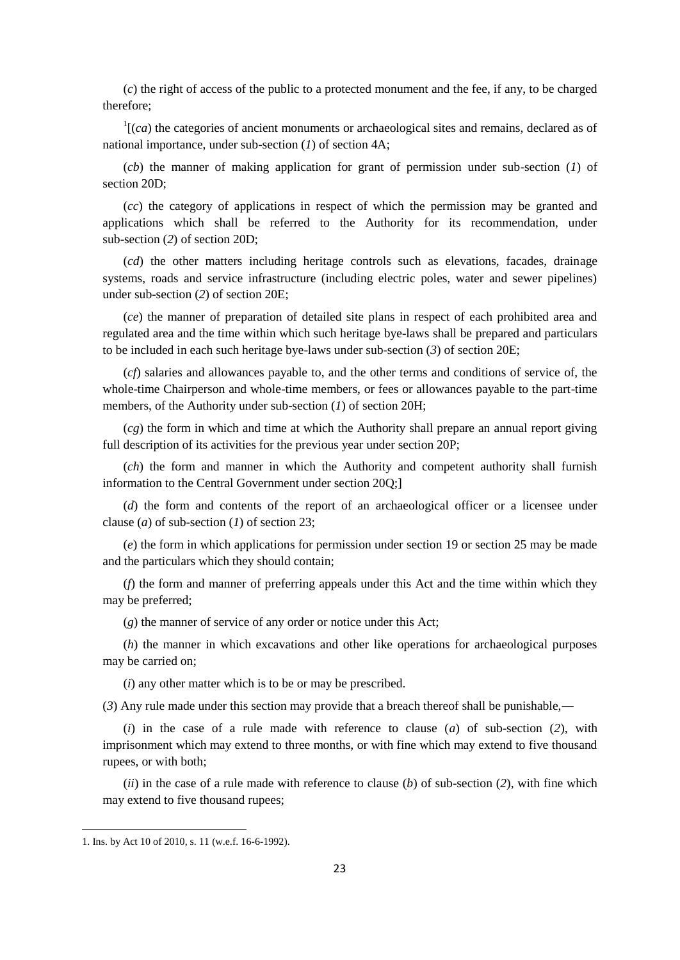(*c*) the right of access of the public to a protected monument and the fee, if any, to be charged therefore;

 $\frac{1}{1}$  (*ca*) the categories of ancient monuments or archaeological sites and remains, declared as of national importance, under sub-section (*1*) of section 4A;

(*cb*) the manner of making application for grant of permission under sub-section (*1*) of section 20D;

(*cc*) the category of applications in respect of which the permission may be granted and applications which shall be referred to the Authority for its recommendation, under sub-section (*2*) of section 20D;

(*cd*) the other matters including heritage controls such as elevations, facades, drainage systems, roads and service infrastructure (including electric poles, water and sewer pipelines) under sub-section (*2*) of section 20E;

(*ce*) the manner of preparation of detailed site plans in respect of each prohibited area and regulated area and the time within which such heritage bye-laws shall be prepared and particulars to be included in each such heritage bye-laws under sub-section (*3*) of section 20E;

(*cf*) salaries and allowances payable to, and the other terms and conditions of service of, the whole-time Chairperson and whole-time members, or fees or allowances payable to the part-time members, of the Authority under sub-section (*1*) of section 20H;

(*cg*) the form in which and time at which the Authority shall prepare an annual report giving full description of its activities for the previous year under section 20P;

(*ch*) the form and manner in which the Authority and competent authority shall furnish information to the Central Government under section 20Q;]

(*d*) the form and contents of the report of an archaeological officer or a licensee under clause (*a*) of sub-section (*1*) of section 23;

(*e*) the form in which applications for permission under section 19 or section 25 may be made and the particulars which they should contain;

(*f*) the form and manner of preferring appeals under this Act and the time within which they may be preferred;

(*g*) the manner of service of any order or notice under this Act;

(*h*) the manner in which excavations and other like operations for archaeological purposes may be carried on;

(*i*) any other matter which is to be or may be prescribed.

(*3*) Any rule made under this section may provide that a breach thereof shall be punishable,―

(*i*) in the case of a rule made with reference to clause (*a*) of sub-section (*2*), with imprisonment which may extend to three months, or with fine which may extend to five thousand rupees, or with both;

(*ii*) in the case of a rule made with reference to clause (*b*) of sub-section (*2*), with fine which may extend to five thousand rupees;

<sup>1.</sup> Ins. by Act 10 of 2010, s. 11 (w.e.f. 16-6-1992).